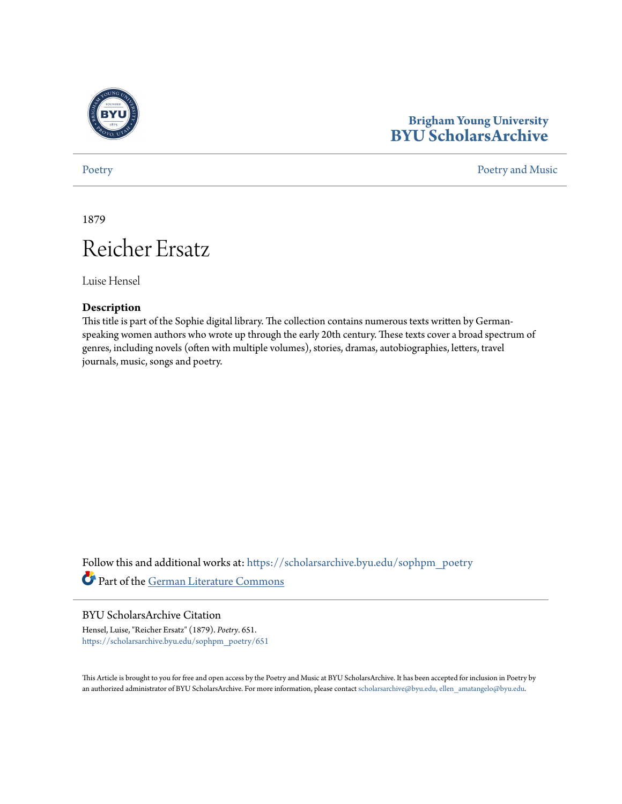

# **Brigham Young University [BYU ScholarsArchive](https://scholarsarchive.byu.edu?utm_source=scholarsarchive.byu.edu%2Fsophpm_poetry%2F651&utm_medium=PDF&utm_campaign=PDFCoverPages)**

#### [Poetry](https://scholarsarchive.byu.edu/sophpm_poetry?utm_source=scholarsarchive.byu.edu%2Fsophpm_poetry%2F651&utm_medium=PDF&utm_campaign=PDFCoverPages) and Music [Poetry and Music](https://scholarsarchive.byu.edu/sophpm?utm_source=scholarsarchive.byu.edu%2Fsophpm_poetry%2F651&utm_medium=PDF&utm_campaign=PDFCoverPages) Poetry and Music Poetry and Music Poetry and Music Poetry and Music Poetry and Music Poetry and Music Poetry and Music Poetry and Music Poetry and Music Poetry and Music Poetry and Music P

1879

# Reicher Ersatz

Luise Hensel

#### **Description**

This title is part of the Sophie digital library. The collection contains numerous texts written by Germanspeaking women authors who wrote up through the early 20th century. These texts cover a broad spectrum of genres, including novels (often with multiple volumes), stories, dramas, autobiographies, letters, travel journals, music, songs and poetry.

Follow this and additional works at: [https://scholarsarchive.byu.edu/sophpm\\_poetry](https://scholarsarchive.byu.edu/sophpm_poetry?utm_source=scholarsarchive.byu.edu%2Fsophpm_poetry%2F651&utm_medium=PDF&utm_campaign=PDFCoverPages) Part of the [German Literature Commons](http://network.bepress.com/hgg/discipline/469?utm_source=scholarsarchive.byu.edu%2Fsophpm_poetry%2F651&utm_medium=PDF&utm_campaign=PDFCoverPages)

### BYU ScholarsArchive Citation

Hensel, Luise, "Reicher Ersatz" (1879). *Poetry*. 651. [https://scholarsarchive.byu.edu/sophpm\\_poetry/651](https://scholarsarchive.byu.edu/sophpm_poetry/651?utm_source=scholarsarchive.byu.edu%2Fsophpm_poetry%2F651&utm_medium=PDF&utm_campaign=PDFCoverPages)

This Article is brought to you for free and open access by the Poetry and Music at BYU ScholarsArchive. It has been accepted for inclusion in Poetry by an authorized administrator of BYU ScholarsArchive. For more information, please contact [scholarsarchive@byu.edu, ellen\\_amatangelo@byu.edu](mailto:scholarsarchive@byu.edu,%20ellen_amatangelo@byu.edu).